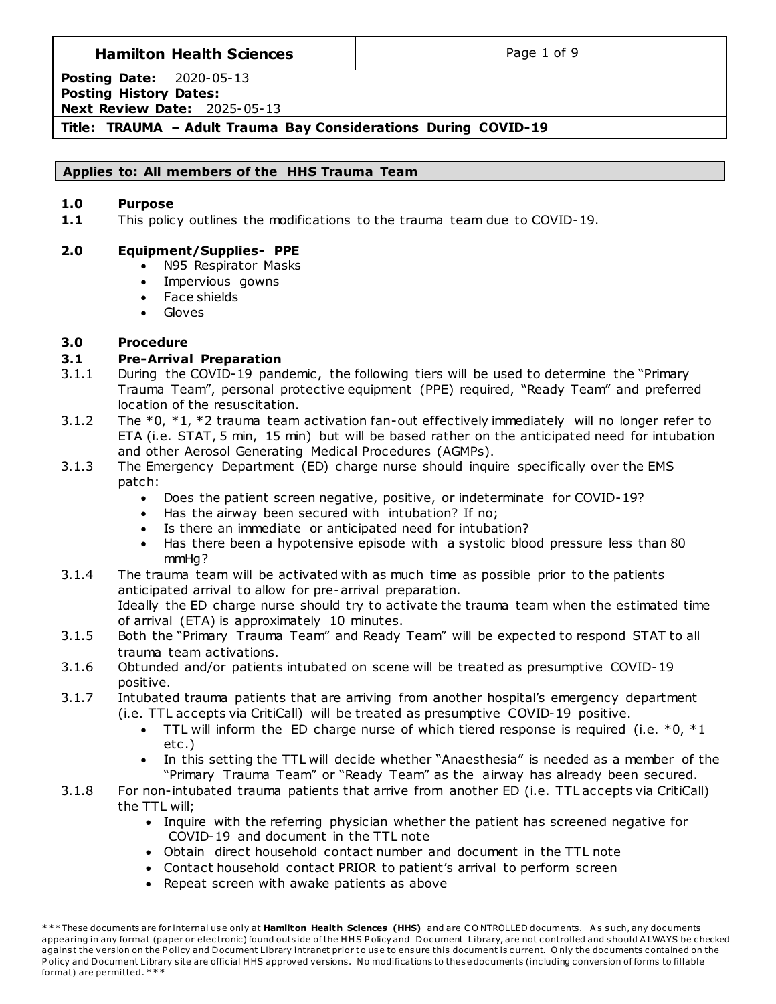## **Hamilton Health Sciences**  $\qquad$  **Page 1 of 9**

**Posting Date:** 2020-05-13 **Posting History Dates: Next Review Date:** 2025-05-13

## **Title: TRAUMA – Adult Trauma Bay Considerations During COVID-19**

### **Applies to: All members of the HHS Trauma Team**

### **1.0 Purpose**

**1.1** This policy outlines the modifications to the trauma team due to COVID-19.

### **2.0 Equipment/Supplies- PPE**

- N95 Respirator Masks
- Impervious gowns
- Face shields
- **Gloves**

### **3.0 Procedure**

### **3.1 Pre-Arrival Preparation**

- 3.1.1 During the COVID-19 pandemic, the following tiers will be used to determine the "Primary Trauma Team", personal protective equipment (PPE) required, "Ready Team" and preferred location of the resuscitation.
- 3.1.2 The  $*0$ ,  $*1$ ,  $*2$  trauma team activation fan-out effectively immediately will no longer refer to ETA (i.e. STAT, 5 min, 15 min) but will be based rather on the anticipated need for intubation and other Aerosol Generating Medical Procedures (AGMPs).
- 3.1.3 The Emergency Department (ED) charge nurse should inquire specifically over the EMS patch:
	- Does the patient screen negative, positive, or indeterminate for COVID-19?
	- Has the airway been secured with intubation? If no;
	- Is there an immediate or anticipated need for intubation?
	- Has there been a hypotensive episode with a systolic blood pressure less than 80 mmHg?
- 3.1.4 The trauma team will be activated with as much time as possible prior to the patients anticipated arrival to allow for pre-arrival preparation. Ideally the ED charge nurse should try to activate the trauma team when the estimated time of arrival (ETA) is approximately 10 minutes.
- 3.1.5 Both the "Primary Trauma Team" and Ready Team" will be expected to respond STAT to all trauma team activations.
- 3.1.6 Obtunded and/or patients intubated on scene will be treated as presumptive COVID-19 positive.
- 3.1.7 Intubated trauma patients that are arriving from another hospital's emergency department (i.e. TTL accepts via CritiCall) will be treated as presumptive COVID-19 positive.
	- TTL will inform the ED charge nurse of which tiered response is required (i.e.  $*0$ ,  $*1$ etc .)
	- In this setting the TTL will decide whether "Anaesthesia" is needed as a member of the "Primary Trauma Team" or "Ready Team" as the airway has already been secured.
- 3.1.8 For non-intubated trauma patients that arrive from another ED (i.e. TTL accepts via CritiCall) the TTL will;
	- Inquire with the referring physician whether the patient has screened negative for COVID-19 and document in the TTL note
	- Obtain direct household contact number and document in the TTL note
	- Contact household contact PRIOR to patient's arrival to perform screen
	- Repeat screen with awake patients as above

<sup>\*\*\*</sup> These documents are for internal use only at Hamilton Health Sciences (HHS) and are CONTROLLED documents. As such, any documents appearing in any format (paper or electronic) found outside of the HHS Policy and Document Library, are not controlled and should A LWAYS be checked against the version on the Policy and Document Library intranet prior to use to ensure this document is current. Only the documents contained on the Policy and Document Library site are official HHS approved versions. No modifications to these documents (including conversion of forms to fillable format) are permitted. \* \* \*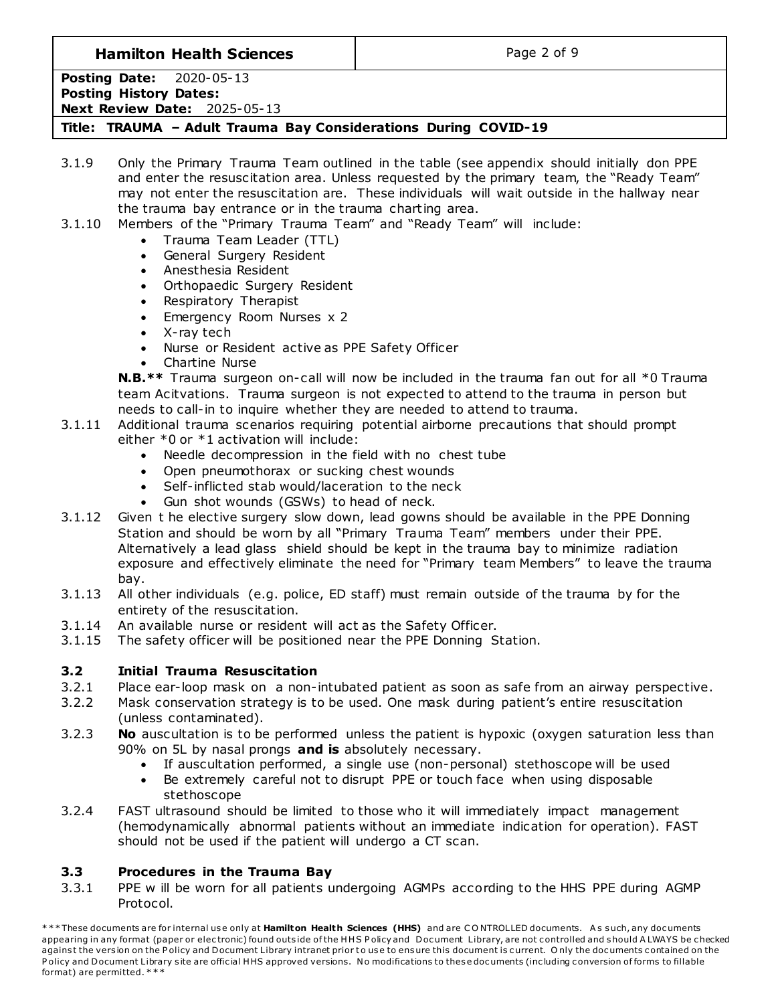**Hamilton Health Sciences**  $\qquad$  **Page 2 of 9** 

**Posting Date:** 2020-05-13 **Posting History Dates: Next Review Date:** 2025-05-13

**Title: TRAUMA – Adult Trauma Bay Considerations During COVID-19**

- 3.1.9 Only the Primary Trauma Team outlined in the table (see appendix should initially don PPE and enter the resuscitation area. Unless requested by the primary team, the "Ready Team" may not enter the resuscitation are. These individuals will wait outside in the hallway near the trauma bay entrance or in the trauma charting area.
- 3.1.10 Members of the "Primary Trauma Team" and "Ready Team" will include:
	- Trauma Team Leader (TTL)
	- General Surgery Resident
	- Anesthesia Resident
	- Orthopaedic Surgery Resident
	- Respiratory Therapist
	- Emergency Room Nurses x 2
	- X-ray tech
	- Nurse or Resident active as PPE Safety Officer
	- Chartine Nurse

**N.B.\*\*** Trauma surgeon on-call will now be included in the trauma fan out for all \*0 Trauma team Acitvations. Trauma surgeon is not expected to attend to the trauma in person but needs to call-in to inquire whether they are needed to attend to trauma.

- 3.1.11 Additional trauma scenarios requiring potential airborne precautions that should prompt either \*0 or \*1 activation will include:
	- Needle decompression in the field with no chest tube
	- Open pneumothorax or sucking chest wounds
	- Self-inflicted stab would/laceration to the neck
	- Gun shot wounds (GSWs) to head of neck.
- 3.1.12 Given t he elective surgery slow down, lead gowns should be available in the PPE Donning Station and should be worn by all "Primary Trauma Team" members under their PPE. Alternatively a lead glass shield should be kept in the trauma bay to minimize radiation exposure and effectively eliminate the need for "Primary team Members" to leave the trauma bay.
- 3.1.13 All other individuals (e.g. police, ED staff) must remain outside of the trauma by for the entirety of the resuscitation.
- 3.1.14 An available nurse or resident will act as the Safety Officer.
- 3.1.15 The safety officer will be positioned near the PPE Donning Station.

# **3.2 Initial Trauma Resuscitation**

- 3.2.1 Place ear-loop mask on a non-intubated patient as soon as safe from an airway perspective.
- 3.2.2 Mask conservation strategy is to be used. One mask during patient's entire resuscitation (unless contaminated).
- 3.2.3 **No** auscultation is to be performed unless the patient is hypoxic (oxygen saturation less than 90% on 5L by nasal prongs **and is** absolutely necessary.
	- If auscultation performed, a single use (non-personal) stethoscope will be used
	- Be extremely careful not to disrupt PPE or touch face when using disposable stethoscope
- 3.2.4 FAST ultrasound should be limited to those who it will immediately impact management (hemodynamically abnormal patients without an immediate indication for operation). FAST should not be used if the patient will undergo a CT scan.

# **3.3 Procedures in the Trauma Bay**

3.3.1 PPE w ill be worn for all patients undergoing AGMPs according to the HHS PPE during AGMP Protocol.

<sup>\*\*\*</sup> These documents are for internal use only at Hamilton Health Sciences (HHS) and are CONTROLLED documents. As such, any documents appearing in any format (paper or electronic) found outside of the HHS Policy and Document Library, are not controlled and should A LWAYS be checked against the version on the Policy and Document Library intranet prior to use to ensure this document is current. Only the documents contained on the Policy and Document Library site are official HHS approved versions. No modifications to these documents (including conversion of forms to fillable format) are permitted. \* \* \*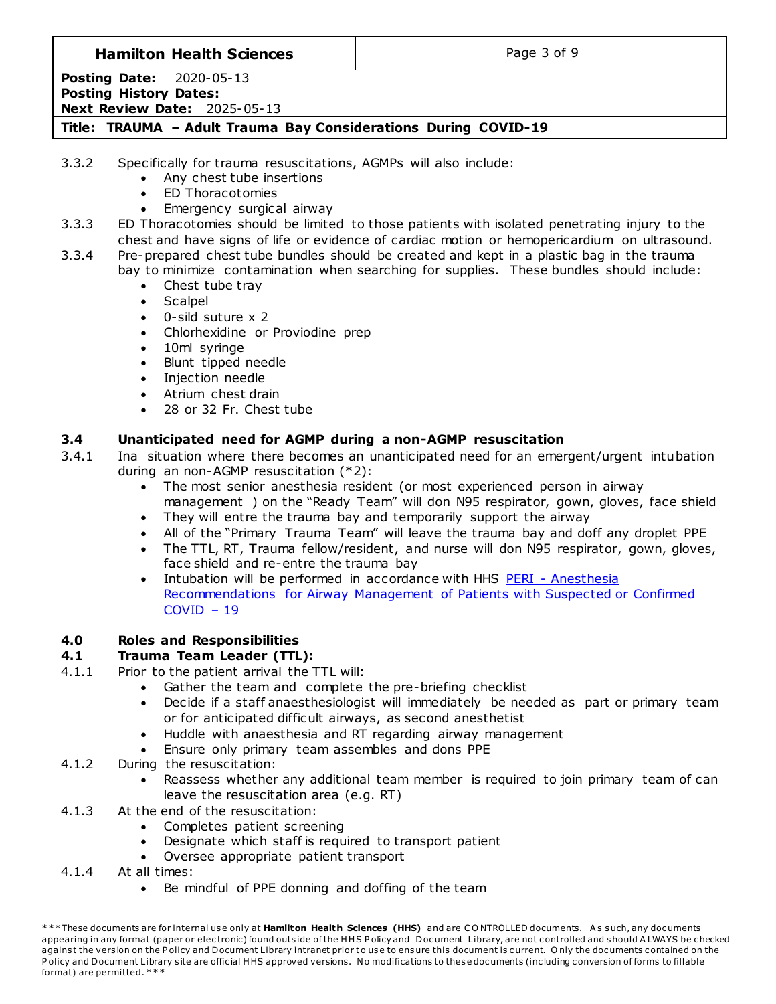## **Hamilton Health Sciences**  $\qquad$  **Page 3 of 9**

**Posting Date:** 2020-05-13 **Posting History Dates: Next Review Date:** 2025-05-13

**Title: TRAUMA – Adult Trauma Bay Considerations During COVID-19**

3.3.2 Specifically for trauma resuscitations, AGMPs will also include:

- Any chest tube insertions
- ED Thoracotomies
- Emergency surgical airway
- 3.3.3 ED Thoracotomies should be limited to those patients with isolated penetrating injury to the chest and have signs of life or evidence of cardiac motion or hemopericardium on ultrasound.

3.3.4 Pre-prepared chest tube bundles should be created and kept in a plastic bag in the trauma bay to minimize contamination when searching for supplies. These bundles should include:

- Chest tube tray
- **Scalpel**
- 0-sild suture x 2
- Chlorhexidine or Proviodine prep
- 10ml syringe
- Blunt tipped needle
- Injection needle
- Atrium chest drain
- 28 or 32 Fr. Chest tube

## **3.4 Unanticipated need for AGMP during a non-AGMP resuscitation**

3.4.1 Ina situation where there becomes an unanticipated need for an emergent/urgent intubation during an non-AGMP resuscitation (\*2):

- The most senior anesthesia resident (or most experienced person in airway management ) on the "Ready Team" will don N95 respirator, gown, gloves, face shield
- They will entre the trauma bay and temporarily support the airway
- All of the "Primary Trauma Team" will leave the trauma bay and doff any droplet PPE
- The TTL, RT, Trauma fellow/resident, and nurse will don N95 respirator, gown, gloves, face shield and re-entre the trauma bay
- Intubation will be performed in accordance with HHS PERI Anesthesia [Recommendations for Airway Management of Patients with Suspected or Confirmed](http://policy.hhsc.ca/Site_Published/hhsc/document_render.aspx?documentRender.IdType=6&documentRender.GenericField=&documentRender.Id=99706)   $COVID - 19$  $COVID - 19$

# **4.0 Roles and Responsibilities**

# **4.1 Trauma Team Leader (TTL):**

- 4.1.1 Prior to the patient arrival the TTL will:
	- Gather the team and complete the pre-briefing checklist
	- Decide if a staff anaesthesiologist will immediately be needed as part or primary team or for anticipated difficult airways, as second anesthetist
	- Huddle with anaesthesia and RT regarding airway management
	- Ensure only primary team assembles and dons PPE
- 4.1.2 During the resuscitation:
	- Reassess whether any additional team member is required to join primary team of can leave the resuscitation area (e.g. RT)
- 4.1.3 At the end of the resuscitation:
	- Completes patient screening
	- Designate which staff is required to transport patient
	- Oversee appropriate patient transport
- 4.1.4 At all times:
	- Be mindful of PPE donning and doffing of the team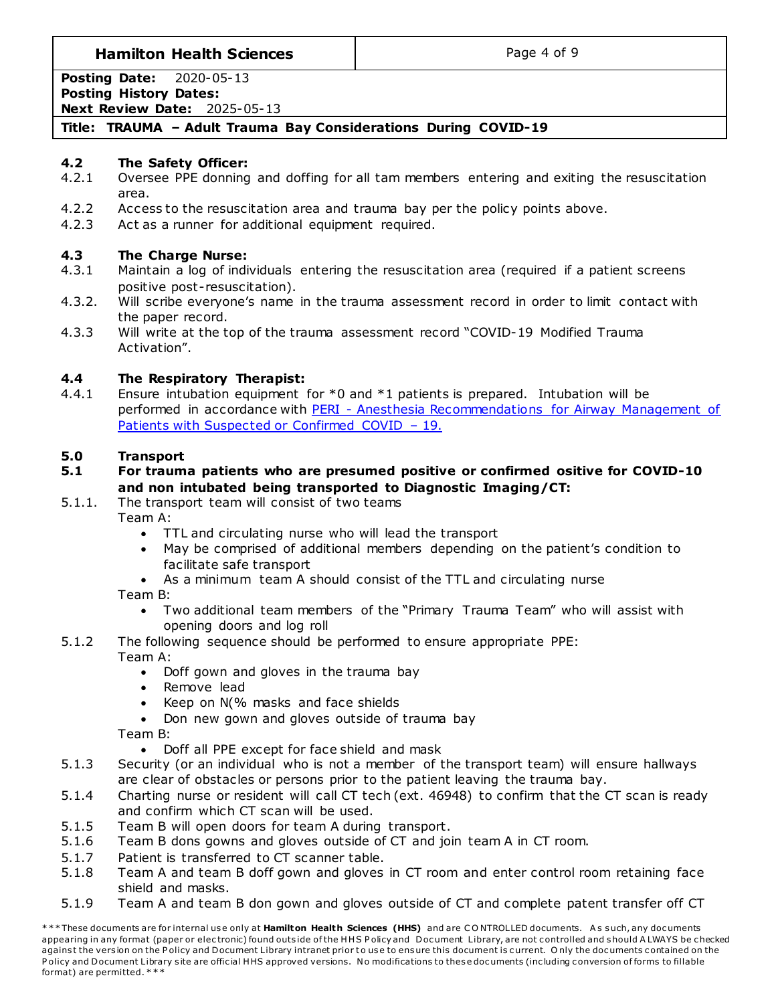## **Hamilton Health Sciences**  $\qquad$  **Page 4 of 9**

**Posting Date:** 2020-05-13 **Posting History Dates: Next Review Date:** 2025-05-13

# **Title: TRAUMA – Adult Trauma Bay Considerations During COVID-19**

### **4.2 The Safety Officer:**

- 4.2.1 Oversee PPE donning and doffing for all tam members entering and exiting the resuscitation area.
- 4.2.2 Access to the resuscitation area and trauma bay per the policy points above.
- 4.2.3 Act as a runner for additional equipment required.

### **4.3 The Charge Nurse:**

- 4.3.1 Maintain a log of individuals entering the resuscitation area (required if a patient screens positive post-resuscitation).
- 4.3.2. Will scribe everyone's name in the trauma assessment record in order to limit contact with the paper record.
- 4.3.3 Will write at the top of the trauma assessment record "COVID-19 Modified Trauma Activation".

### **4.4 The Respiratory Therapist:**

4.4.1 Ensure intubation equipment for  $*0$  and  $*1$  patients is prepared. Intubation will be performed in accordance with PERI - Anesthesia Recommendations for Airway Management of [Patients with Suspected or Confirmed COVID](http://policy.hhsc.ca/Site_Published/hhsc/document_render.aspx?documentRender.IdType=6&documentRender.GenericField=&documentRender.Id=100030) – 19.

### **5.0 Transport**

### **5.1 For trauma patients who are presumed positive or confirmed ositive for COVID-10 and non intubated being transported to Diagnostic Imaging/CT:**

5.1.1. The transport team will consist of two teams

Team A:

- TTL and circulating nurse who will lead the transport
- May be comprised of additional members depending on the patient's condition to facilitate safe transport
- As a minimum team A should consist of the TTL and circulating nurse

#### Team B:

- Two additional team members of the "Primary Trauma Team" who will assist with opening doors and log roll
- 5.1.2 The following sequence should be performed to ensure appropriate PPE: Team A:
	- Doff gown and gloves in the trauma bay
	- Remove lead
	- Keep on N(% masks and face shields
	- Don new gown and gloves outside of trauma bay

Team B:

Doff all PPE except for face shield and mask

- 5.1.3 Security (or an individual who is not a member of the transport team) will ensure hallways are clear of obstacles or persons prior to the patient leaving the trauma bay.
- 5.1.4 Charting nurse or resident will call CT tech (ext. 46948) to confirm that the CT scan is ready and confirm which CT scan will be used.
- 5.1.5 Team B will open doors for team A during transport.
- 5.1.6 Team B dons gowns and gloves outside of CT and join team A in CT room.
- 5.1.7 Patient is transferred to CT scanner table.
- 5.1.8 Team A and team B doff gown and gloves in CT room and enter control room retaining face shield and masks.
- 5.1.9 Team A and team B don gown and gloves outside of CT and complete patent transfer off CT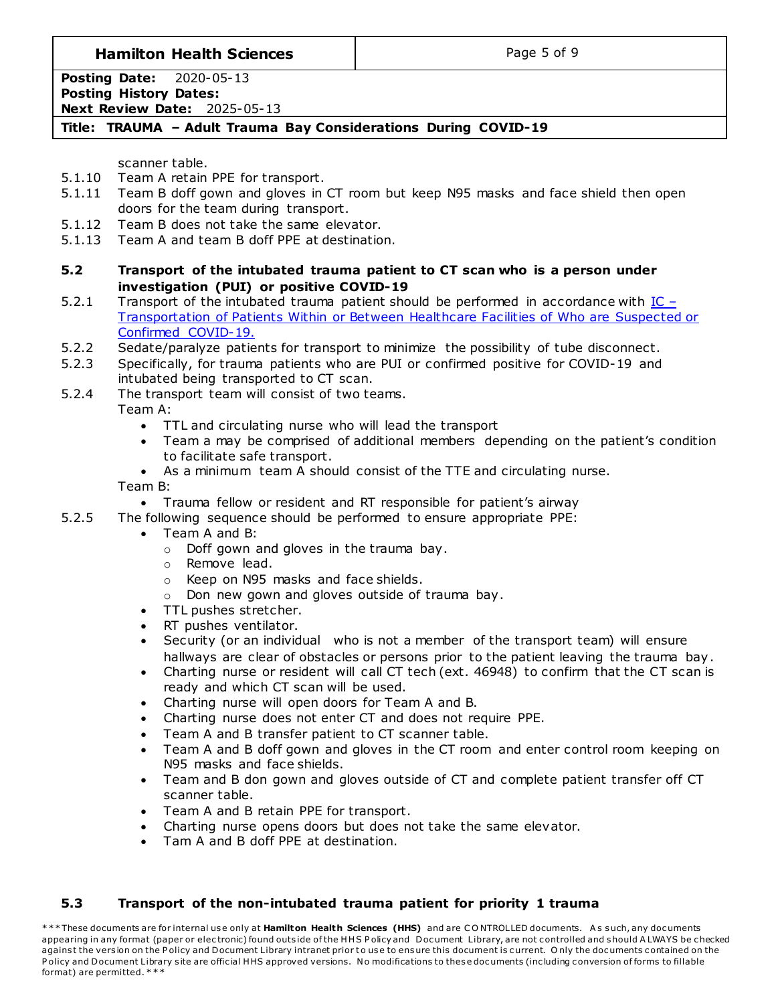**Hamilton Health Sciences**  $\qquad$  **Page 5 of 9** 

**Posting Date:** 2020-05-13 **Posting History Dates: Next Review Date:** 2025-05-13

# **Title: TRAUMA – Adult Trauma Bay Considerations During COVID-19**

scanner table.

- 5.1.10 Team A retain PPE for transport.
- 5.1.11 Team B doff gown and gloves in CT room but keep N95 masks and face shield then open doors for the team during transport.
- 5.1.12 Team B does not take the same elevator.
- 5.1.13 Team A and team B doff PPE at destination.
- **5.2 Transport of the intubated trauma patient to CT scan who is a person under investigation (PUI) or positive COVID-19**
- 5.2.1 Transport of the intubated trauma patient should be performed in accordance with  $IC -$ [Transportation of Patients Within or Between Healthcare Facilities of Who are Suspected or](http://policy.hhsc.ca/Site_Published/hhsc/document_render.aspx?documentRender.IdType=6&documentRender.GenericField=&documentRender.Id=100007)  [Confirmed COVID-19.](http://policy.hhsc.ca/Site_Published/hhsc/document_render.aspx?documentRender.IdType=6&documentRender.GenericField=&documentRender.Id=100007)
- 5.2.2 Sedate/paralyze patients for transport to minimize the possibility of tube disconnect.
- 5.2.3 Specifically, for trauma patients who are PUI or confirmed positive for COVID-19 and intubated being transported to CT scan.
- 5.2.4 The transport team will consist of two teams.

Team A:

- TTL and circulating nurse who will lead the transport
- Team a may be comprised of additional members depending on the patient's condition to facilitate safe transport.
- As a minimum team A should consist of the TTE and circulating nurse.

Team B:

- Trauma fellow or resident and RT responsible for patient's airway
- 5.2.5 The following sequence should be performed to ensure appropriate PPE:
	- Team A and B:
		- o Doff gown and gloves in the trauma bay.
		- o Remove lead.
		- o Keep on N95 masks and face shields.
		- o Don new gown and gloves outside of trauma bay.
	- TTL pushes stretcher.
	- RT pushes ventilator.
	- Security (or an individual who is not a member of the transport team) will ensure hallways are clear of obstacles or persons prior to the patient leaving the trauma bay.
	- Charting nurse or resident will call CT tech (ext. 46948) to confirm that the CT scan is ready and which CT scan will be used.
	- Charting nurse will open doors for Team A and B.
	- Charting nurse does not enter CT and does not require PPE.
	- Team A and B transfer patient to CT scanner table.
	- Team A and B doff gown and gloves in the CT room and enter control room keeping on N95 masks and face shields.
	- Team and B don gown and gloves outside of CT and complete patient transfer off CT scanner table.
	- Team A and B retain PPE for transport.
	- Charting nurse opens doors but does not take the same elevator.
	- Tam A and B doff PPE at destination.

# **5.3 Transport of the non-intubated trauma patient for priority 1 trauma**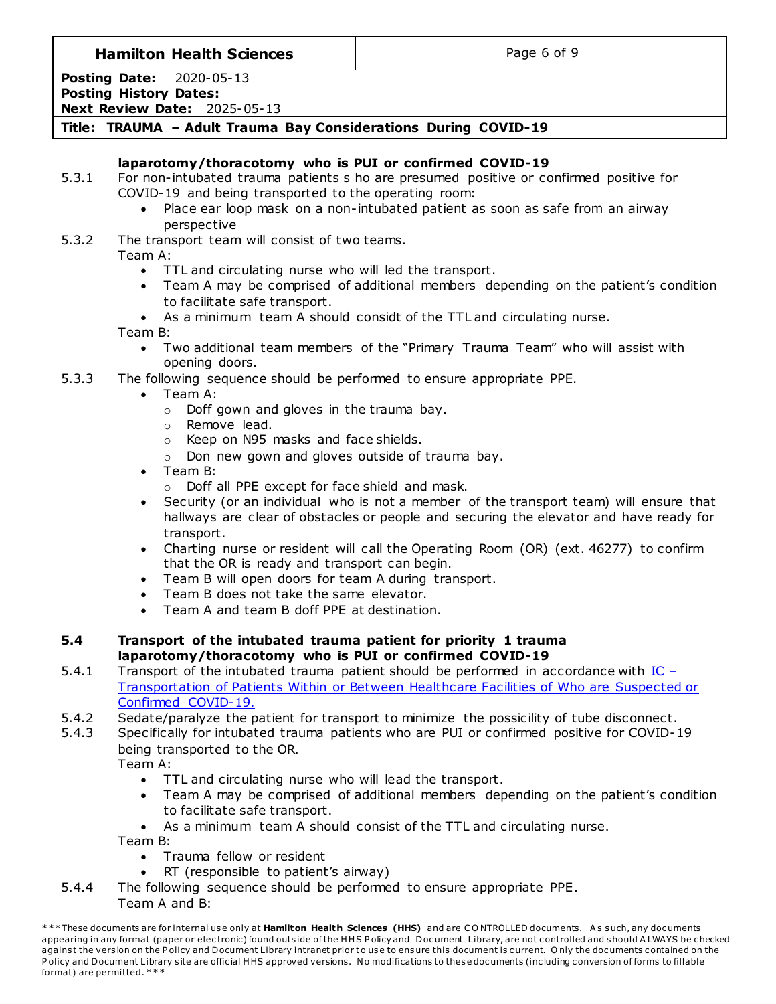**Hamilton Health Sciences**  $\qquad$  **Page 6 of 9** 

**Posting Date:** 2020-05-13 **Posting History Dates: Next Review Date:** 2025-05-13

# **Title: TRAUMA – Adult Trauma Bay Considerations During COVID-19**

# **laparotomy/thoracotomy who is PUI or confirmed COVID-19**

- 5.3.1 For non-intubated trauma patients s ho are presumed positive or confirmed positive for COVID-19 and being transported to the operating room:
	- Place ear loop mask on a non-intubated patient as soon as safe from an airway perspective

5.3.2 The transport team will consist of two teams.

Team A:

- TTL and circulating nurse who will led the transport.
- Team A may be comprised of additional members depending on the patient's condition to facilitate safe transport.
- As a minimum team A should considt of the TTL and circulating nurse.

Team B:

- Two additional team members of the "Primary Trauma Team" who will assist with opening doors.
- 5.3.3 The following sequence should be performed to ensure appropriate PPE.
	- Team A:
		- o Doff gown and gloves in the trauma bay.
		- o Remove lead.
		- o Keep on N95 masks and face shields.
		- o Don new gown and gloves outside of trauma bay.
	- Team B:
		- o Doff all PPE except for face shield and mask.
	- Security (or an individual who is not a member of the transport team) will ensure that hallways are clear of obstacles or people and securing the elevator and have ready for transport.
	- Charting nurse or resident will call the Operating Room (OR) (ext. 46277) to confirm that the OR is ready and transport can begin.
	- Team B will open doors for team A during transport.
	- Team B does not take the same elevator.
	- Team A and team B doff PPE at destination.

### **5.4 Transport of the intubated trauma patient for priority 1 trauma laparotomy/thoracotomy who is PUI or confirmed COVID-19**

- 5.4.1 Transport of the intubated trauma patient should be performed in accordance with  $IC -$ [Transportation of Patients Within or Between Healthcare Facilities of Who are Suspected or](http://policy.hhsc.ca/Site_Published/hhsc/document_render.aspx?documentRender.IdType=6&documentRender.GenericField=&documentRender.Id=100007)  [Confirmed COVID-19.](http://policy.hhsc.ca/Site_Published/hhsc/document_render.aspx?documentRender.IdType=6&documentRender.GenericField=&documentRender.Id=100007)
- 5.4.2 Sedate/paralyze the patient for transport to minimize the possicility of tube disconnect.
- 5.4.3 Specifically for intubated trauma patients who are PUI or confirmed positive for COVID-19 being transported to the OR.

Team A:

- TTL and circulating nurse who will lead the transport.
- Team A may be comprised of additional members depending on the patient's condition to facilitate safe transport.
- As a minimum team A should consist of the TTL and circulating nurse.

Team B:

- Trauma fellow or resident
- RT (responsible to patient's airway)
- 5.4.4 The following sequence should be performed to ensure appropriate PPE. Team A and B:

<sup>\*\*\*</sup> These documents are for internal use only at Hamilton Health Sciences (HHS) and are CONTROLLED documents. As such, any documents appearing in any format (paper or electronic) found outside of the HHS Policy and Document Library, are not controlled and should A LWAYS be checked against the version on the Policy and Document Library intranet prior to use to ensure this document is current. Only the documents contained on the Policy and Document Library site are official HHS approved versions. No modifications to these documents (including conversion of forms to fillable format) are permitted. \* \* \*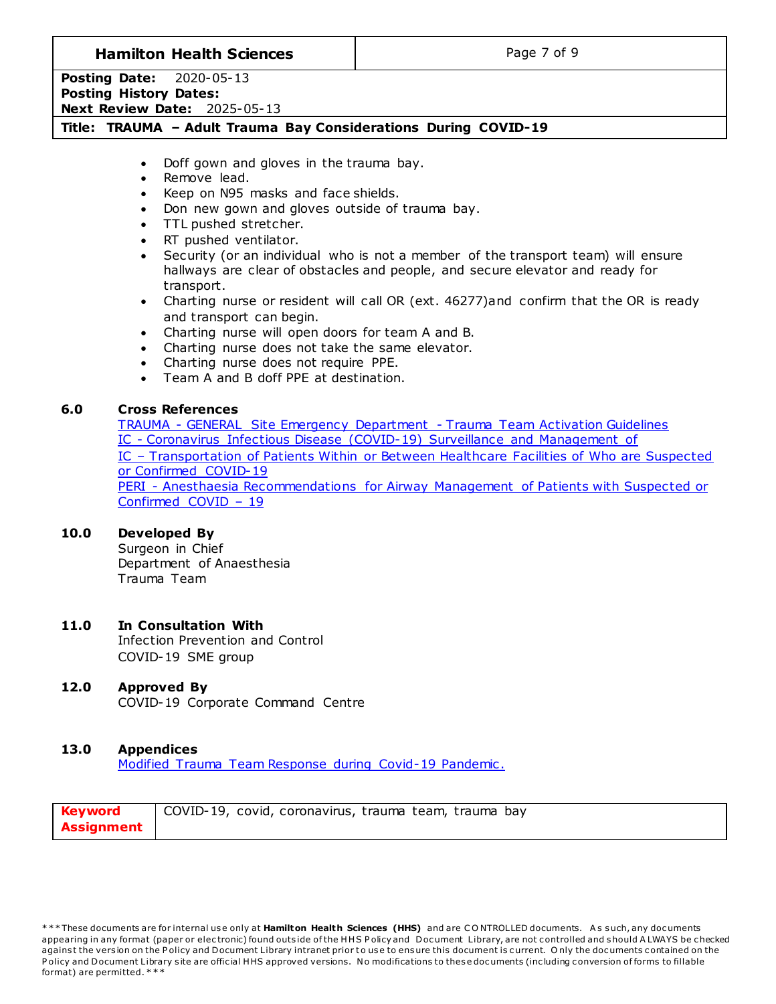## **Hamilton Health Sciences**  $\qquad$  **Page 7 of 9**

**Posting Date:** 2020-05-13 **Posting History Dates: Next Review Date:** 2025-05-13

### **Title: TRAUMA – Adult Trauma Bay Considerations During COVID-19**

- Doff gown and gloves in the trauma bay.
- Remove lead.
- Keep on N95 masks and face shields.
- Don new gown and gloves outside of trauma bay.
- TTL pushed stretcher.
- RT pushed ventilator.
- Security (or an individual who is not a member of the transport team) will ensure hallways are clear of obstacles and people, and secure elevator and ready for transport.
- Charting nurse or resident will call OR (ext. 46277)and confirm that the OR is ready and transport can begin.
- Charting nurse will open doors for team A and B.
- Charting nurse does not take the same elevator.
- Charting nurse does not require PPE.
- Team A and B doff PPE at destination.

### **6.0 Cross References**

TRAUMA - [GENERAL Site Emergency Department -](http://policy.hhsc.ca/Site_Published/hhsc/document_render.aspx?documentRender.IdType=6&documentRender.GenericField=&documentRender.Id=98771) Trauma Team Activation Guidelines IC - [Coronavirus Infectious Disease \(COVID-19\) Surveillance and Management of](http://policy.hhsc.ca/Site_Published/hhsc/document_render.aspx?documentRender.IdType=6&documentRender.GenericField=&documentRender.Id=99858) IC – [Transportation of Patients Within or Between Healthcare Facilities of Who are Suspected](http://policy.hhsc.ca/Site_Published/hhsc/document_render.aspx?documentRender.IdType=6&documentRender.GenericField=&documentRender.Id=99648)  [or Confirmed COVID-19](http://policy.hhsc.ca/Site_Published/hhsc/document_render.aspx?documentRender.IdType=6&documentRender.GenericField=&documentRender.Id=99648) PERI - [Anesthaesia Recommendations for Airway Management of Patients with Suspected](http://policy.hhsc.ca/Site_Published/hhsc/document_render.aspx?documentRender.IdType=6&documentRender.GenericField=&documentRender.Id=99706) or [Confirmed COVID](http://policy.hhsc.ca/Site_Published/hhsc/document_render.aspx?documentRender.IdType=6&documentRender.GenericField=&documentRender.Id=99706) – 19

### **10.0 Developed By**

Surgeon in Chief Department of Anaesthesia Trauma Team

#### **11.0 In Consultation With**

Infection Prevention and Control COVID-19 SME group

### **12.0 Approved By**

COVID-19 Corporate Command Centre

#### **13.0 Appendices**

[Modified Trauma Team Response during Covid-19 Pandemic .](#page-7-0)

| <b>Keyword</b> | COVID-19, covid, coronavirus, trauma team, trauma bay |
|----------------|-------------------------------------------------------|
| Assignment     |                                                       |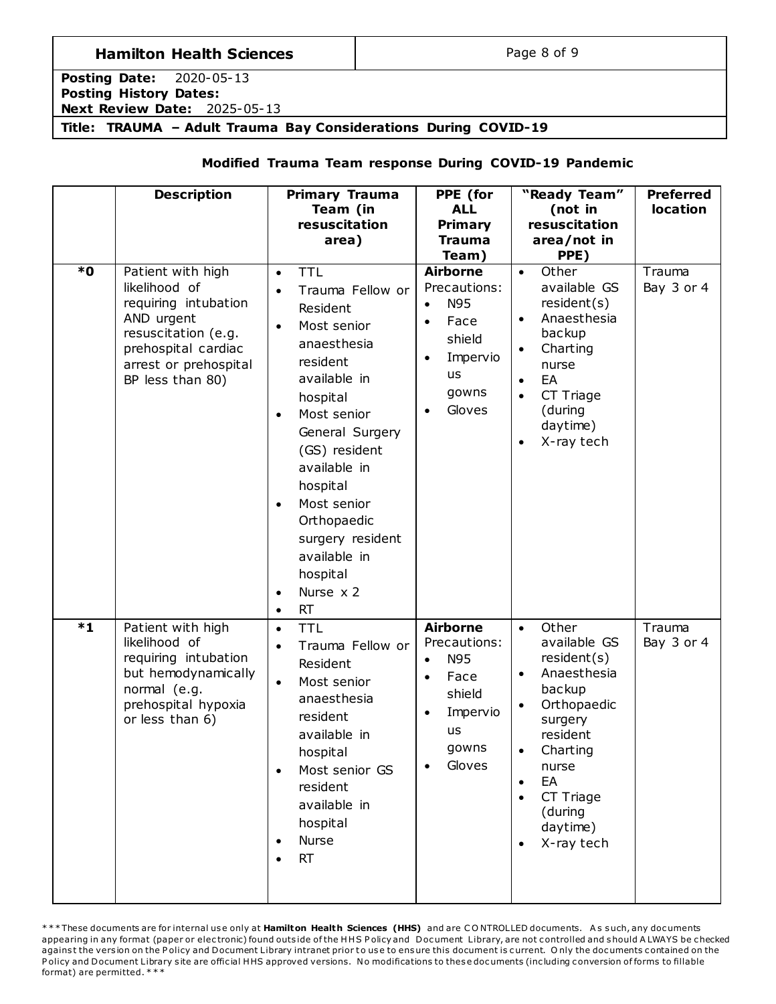# **Hamilton Health Sciences Page 8 of 9**

**Posting Date:** 2020-05-13 **Posting History Dates: Next Review Date:** 2025-05-13

<span id="page-7-0"></span>**Title: TRAUMA – Adult Trauma Bay Considerations During COVID-19**

# **Modified Trauma Team response During COVID-19 Pandemic**

| $\overline{\bullet}$ | <b>Description</b><br>Patient with high<br>likelihood of<br>requiring intubation<br>AND urgent<br>resuscitation (e.g.<br>prehospital cardiac | <b>Primary Trauma</b><br>Team (in<br>resuscitation<br>area)<br><b>TTL</b><br>$\bullet$<br>Trauma Fellow or<br>Resident<br>Most senior<br>$\bullet$<br>anaesthesia<br>resident                                                                                         | PPE (for<br><b>ALL</b><br><b>Primary</b><br><b>Trauma</b><br>Team)<br><b>Airborne</b><br>Precautions:<br>N95<br>$\bullet$<br>Face<br>shield<br>Impervio | "Ready Team"<br>(not in<br>resuscitation<br>area/not in<br>PPE)<br>Other<br>$\bullet$<br>available GS<br>resident(s)<br>Anaesthesia<br>$\bullet$<br>backup<br>Charting<br>$\bullet$                                                  | <b>Preferred</b><br><b>location</b><br>Trauma<br>Bay 3 or 4 |
|----------------------|----------------------------------------------------------------------------------------------------------------------------------------------|-----------------------------------------------------------------------------------------------------------------------------------------------------------------------------------------------------------------------------------------------------------------------|---------------------------------------------------------------------------------------------------------------------------------------------------------|--------------------------------------------------------------------------------------------------------------------------------------------------------------------------------------------------------------------------------------|-------------------------------------------------------------|
|                      | arrest or prehospital<br>BP less than 80)                                                                                                    | available in<br>hospital<br>Most senior<br>$\bullet$<br>General Surgery<br>(GS) resident<br>available in<br>hospital<br>Most senior<br>$\bullet$<br>Orthopaedic<br>surgery resident<br>available in<br>hospital<br>Nurse $x$ 2<br>$\bullet$<br><b>RT</b><br>$\bullet$ | us<br>gowns<br>Gloves                                                                                                                                   | nurse<br>EA<br>$\bullet$<br>CT Triage<br>$\bullet$<br>(during<br>daytime)<br>X-ray tech<br>٠                                                                                                                                         |                                                             |
| $*1$                 | Patient with high<br>likelihood of<br>requiring intubation<br>but hemodynamically<br>normal (e.g.<br>prehospital hypoxia<br>or less than 6)  | <b>TTL</b><br>$\bullet$<br>Trauma Fellow or<br>$\bullet$<br>Resident<br>Most senior<br>$\bullet$<br>anaesthesia<br>resident<br>available in<br>hospital<br>Most senior GS<br>$\bullet$<br>resident<br>available in<br>hospital<br>Nurse<br>$\bullet$<br><b>RT</b>     | <b>Airborne</b><br>Precautions:<br>N95<br>$\bullet$<br>Face<br>shield<br>Impervio<br>$\bullet$<br><b>us</b><br>gowns<br>Gloves                          | Other<br>$\bullet$<br>available GS<br>resident(s)<br>Anaesthesia<br>$\bullet$<br>backup<br>Orthopaedic<br>$\bullet$<br>surgery<br>resident<br>Charting<br>nurse<br>EA<br>CT Triage<br>$\bullet$<br>(during<br>daytime)<br>X-ray tech | Trauma<br>Bay 3 or 4                                        |